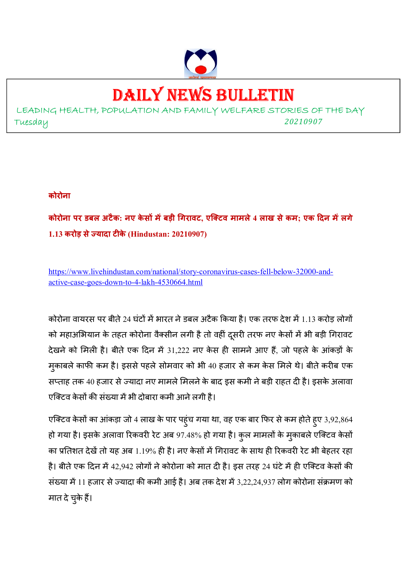

# DAILY NEWS BULLETIN

LEADING HEALTH, POPULATION AND FAMILY WELFARE STORIES OF THE DAY Tuesday *<sup>20210907</sup>*

#### **कोरोना**

**कोरोना पर डबल अटैक: नए के स मबड़ी गरावट, एिटव मामले 4 लाख सेकम; एक दन मलगे** 1.13 करोड़ से ज्यादा टीके (Hindustan: 20210907)

https://www.livehindustan.com/national/story-coronavirus-cases-fell-below-32000-andactive-case-goes-down-to-4-lakh-4530664.html

कोरोना वायरस पर बीते 24 घंटों में भारत ने डबल अटैक किया है। एक तरफ देश में 1.13 करोड़ लोगों को महाअभियान के तहत कोरोना वैक्सीन लगी है तो वहीं दूसरी तरफ नए केसों में भी बड़ी गिरावट देखने को मिली है। बीते एक दिन में 31,222 नए केस ही सामने आए हैं, जो पहले के आंकड़ों के मुकाबले काफी कम है। इससे पहले सोमवार को भी 40 हजार से कम केस मिले थे। बीते करीब एक सप्ताह तक 40 हजार से ज्यादा नए मामले मिलने के बाद इस कमी ने बड़ी राहत दी है। इसके अलावा एक्टिव केसों की संख्या में भी दोबारा कमी आने लगी है।

एक्टिव केसों का आंकड़ा जो 4 लाख के पार पहुंच गया था, वह एक बार फिर से कम होते हुए 3,92,864 हो गया है। इसके अलावा रिकवरी रेट अब 97.48% हो गया है। कुल मामलों के मुकाबले एक्टिव केसों का प्रतिशत देखें तो यह अब 1.19% ही है। नए केसों में गिरावट के साथ ही रिकवरी रेट भी बेहतर रहा है। बीते एक दिन में 42,942 लोगों ने कोरोना को मात दी है। इस तरह 24 घंटे में ही एक्टिव केसों की संख्या में 11 हजार से ज्यादा की कमी आई है। अब तक देश में 3,22,24,937 लोग कोरोना संक्रमण को मात दे चुके हैं।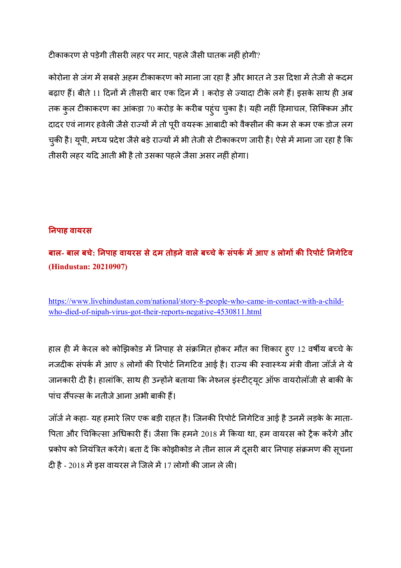टीकाकरण से पड़ेगी तीसरी लहर पर मार, पहले जैसी घातक नहीं होगी?

कोरोना से जंग में सबसे अहम टीकाकरण को माना जा रहा है और भारत ने उस दिशा में तेजी से कदम बढ़ाए हैं। बीते 11 दिनों में तीसरी बार एक दिन में 1 करोड़ से ज्यादा टीके लगे हैं। इसके साथ ही अब तक कुल टीकाकरण का आंकड़ा 70 करोड़ के करीब पहुंच चुका है। यही नहीं हिमाचल, सिक्किम और दादर एवं नागर हवेली जैसे राज्यों में तो पूरी वयस्क आबादी को वैक्सीन की कम से कम एक डोज लग चुकी है। यूपी, मध्य प्रदेश जैसे बड़े राज्यों में भी तेजी से टीकाकरण जारी है। ऐसे में माना जा रहा है कि तीसरी लहर यदि आती भी है तो उसका पहले जैसा असर नहीं होगा।

#### **!नपाह वायरस**

**बाल- बाल बचे: !नपाह वायरस सेदम तोड़नेवालेब%चेके संपक' मआए 8 लोग क) \*रपोट'!नगेटव (Hindustan: 20210907)** 

https://www.livehindustan.com/national/story-8-people-who-came-in-contact-with-a-childwho-died-of-nipah-virus-got-their-reports-negative-4530811.html

हाल ही में केरल को कोझिकोड में निपाह से संक्रमित होकर मौत का शिकार हुए 12 वर्षीय बच्चे के नजदीक संपर्क में आए 8 लोगों की रिपोर्ट निगटिव आई है। राज्य की स्वास्थ्य मंत्री वीना जॉर्ज ने ये जानकारी दी है। हालांकि, साथ ही उन्होंने बताया कि नेश्नल इंस्टीट्यूट ऑफ वायरोलॉजी से बाकी के पांच सैंपल्स के नतीजे आना अभी बाकी हैं।

जॉर्ज ने कहा- यह हमारे लिए एक बड़ी राहत है। जिनकी रिपोर्ट निगेटिव आई है उनमें लड़के के माता-पिता और चिकित्सा अधिकारी हैं। जैसा कि हमने 2018 में किया था, हम वायरस को ट्रैक करेंगे और प्रकोप को नियंत्रित करेंगे। बता दें कि कोझीकोड ने तीन साल में दूसरी बार निपाह संक्रमण की सूचना दी है - 2018 में इस वायरस ने जिले में 17 लोगों की जान ले ली।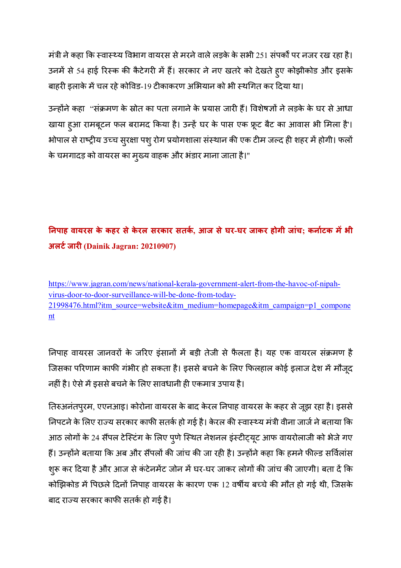मंत्री ने कहा कि स्वास्थ्य विभाग वायरस से मरने वाले लड़के के सभी 251 संपर्कों पर नजर रख रहा है। उनमें से 54 हाई रिस्क की कैटेगरी में हैं। सरकार ने नए खतरे को देखते हुए कोझीकोड और इसके बाहरी इलाके में चल रहे कोविड-19 टीकाकरण अभियान को भी स्थगित कर दिया था।

उन्होंने कहा "संक्रमण के स्रोत का पता लगाने के प्रयास जारी हैं। विशेषज्ञों ने लड़के के घर से आधा खाया हुआ रामबूटन फल बरामद किया है। उन्हें घर के पास एक फ्रूट बैट का आवास भी मिला है'। भोपाल से राष्ट्रीय उच्च सुरक्षा पशु रोग प्रयोगशाला संस्थान की एक टीम जल्द ही शहर में होगी। फलों के चमगादड़ को वायरस का मुख्य वाहक और भंडार माना जाता है।"

### **!नपाह वायरस के कहर सेके रल सरकार सतक', आज सेघर-घर जाकर होगी जांच; कना'टक मभी** अलर्ट जारी (Dainik Jagran: 20210907)

https://www.jagran.com/news/national-kerala-government-alert-from-the-havoc-of-nipahvirus-door-to-door-surveillance-will-be-done-from-today-21998476.html?itm\_source=website&itm\_medium=homepage&itm\_campaign=p1\_compone nt

निपाह वायरस जानवरों के जरिए इंसानों में बड़ी तेजी से फैलता है। यह एक वायरल संक्रमण है जिसका परिणाम काफी गंभीर हो सकता है। इससे बचने के लिए फिलहाल कोई इलाज देश में मौजूद नहीं है। ऐसे में इससे बचने के लिए सावधानी ही एकमात्र उपाय है।

तिरुअनंतपुरम, एएनआइ। कोरोना वायरस के बाद केरल निपाह वायरस के कहर से जूझ रहा है। इससे निपटने के लिए राज्य सरकार काफी सतर्क हो गई है। केरल की स्वास्थ्य मंत्री वीना जार्ज ने बताया कि आठ लोगों के 24 सैंपल टेस्टिंग के लिए पुणे स्थित नेशनल इंस्टीट्यूट आफ वायरोलाजी को भेजे गए हैं। उन्होंने बताया कि अब और सैंपलों की जांच की जा रही है। उन्होंने कहा कि हमने फील्ड सर्विलांस शुरू कर दिया है और आज से कंटेनमेंट जोन में घर-घर जाकर लोगों की जांच की जाएगी। बता दें कि कोझिकोड में पिछले दिनों निपाह वायरस के कारण एक 12 वर्षीय बच्चे की मौत हो गई थी, जिसके बाद राज्य सरकार काफी सतर्क हो गई है।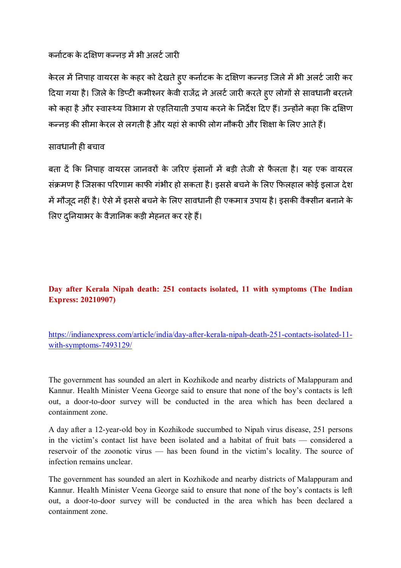#### कर्नाटक के दक्षिण कन्नड में भी अलर्ट जारी

केरल में निपाह वायरस के कहर को देखते हुए कर्नाटक के दक्षिण कन्नड़ जिले में भी अलर्ट जारी कर दिया गया है। जिले के डिप्टी कमीश्नर केवी राजेंद्र ने अलर्ट जारी करते हुए लोगों से सावधानी बरतने को कहा है और स्वास्थ्य विभाग से एहतियाती उपाय करने के निर्देश दिए हैं। उन्होंने कहा कि दक्षिण कन्नड़ की सीमा केरल से लगती है और यहां से काफी लोग नौकरी और शिक्षा के लिए आते हैं।

#### सावधानी ही बचाव

बता दें कि निपाह वायरस जानवरों के जरिए इंसानों में बड़ी तेजी से फैलता है। यह एक वायरल संक्रमण है जिसका परिणाम काफी गंभीर हो सकता है। इससे बचने के लिए फिलहाल कोई इलाज देश में मौजूद नहीं है। ऐसे में इससे बचने के लिए सावधानी ही एकमात्र उपाय है। इसकी वैक्सीन बनाने के लिए दुनियाभर के वैज्ञानिक कड़ी मेहनत कर रहे हैं।

#### **Day after Kerala Nipah death: 251 contacts isolated, 11 with symptoms (The Indian Express: 20210907)**

https://indianexpress.com/article/india/day-after-kerala-nipah-death-251-contacts-isolated-11 with-symptoms-7493129/

The government has sounded an alert in Kozhikode and nearby districts of Malappuram and Kannur. Health Minister Veena George said to ensure that none of the boy's contacts is left out, a door-to-door survey will be conducted in the area which has been declared a containment zone.

A day after a 12-year-old boy in Kozhikode succumbed to Nipah virus disease, 251 persons in the victim's contact list have been isolated and a habitat of fruit bats — considered a reservoir of the zoonotic virus — has been found in the victim's locality. The source of infection remains unclear.

The government has sounded an alert in Kozhikode and nearby districts of Malappuram and Kannur. Health Minister Veena George said to ensure that none of the boy's contacts is left out, a door-to-door survey will be conducted in the area which has been declared a containment zone.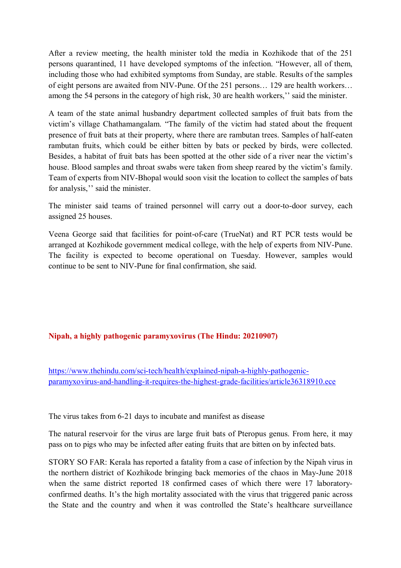After a review meeting, the health minister told the media in Kozhikode that of the 251 persons quarantined, 11 have developed symptoms of the infection. "However, all of them, including those who had exhibited symptoms from Sunday, are stable. Results of the samples of eight persons are awaited from NIV-Pune. Of the 251 persons… 129 are health workers… among the 54 persons in the category of high risk, 30 are health workers,'' said the minister.

A team of the state animal husbandry department collected samples of fruit bats from the victim's village Chathamangalam. "The family of the victim had stated about the frequent presence of fruit bats at their property, where there are rambutan trees. Samples of half-eaten rambutan fruits, which could be either bitten by bats or pecked by birds, were collected. Besides, a habitat of fruit bats has been spotted at the other side of a river near the victim's house. Blood samples and throat swabs were taken from sheep reared by the victim's family. Team of experts from NIV-Bhopal would soon visit the location to collect the samples of bats for analysis,'' said the minister.

The minister said teams of trained personnel will carry out a door-to-door survey, each assigned 25 houses.

Veena George said that facilities for point-of-care (TrueNat) and RT PCR tests would be arranged at Kozhikode government medical college, with the help of experts from NIV-Pune. The facility is expected to become operational on Tuesday. However, samples would continue to be sent to NIV-Pune for final confirmation, she said.

#### **Nipah, a highly pathogenic paramyxovirus (The Hindu: 20210907)**

https://www.thehindu.com/sci-tech/health/explained-nipah-a-highly-pathogenicparamyxovirus-and-handling-it-requires-the-highest-grade-facilities/article36318910.ece

The virus takes from 6-21 days to incubate and manifest as disease

The natural reservoir for the virus are large fruit bats of Pteropus genus. From here, it may pass on to pigs who may be infected after eating fruits that are bitten on by infected bats.

STORY SO FAR: Kerala has reported a fatality from a case of infection by the Nipah virus in the northern district of Kozhikode bringing back memories of the chaos in May-June 2018 when the same district reported 18 confirmed cases of which there were 17 laboratoryconfirmed deaths. It's the high mortality associated with the virus that triggered panic across the State and the country and when it was controlled the State's healthcare surveillance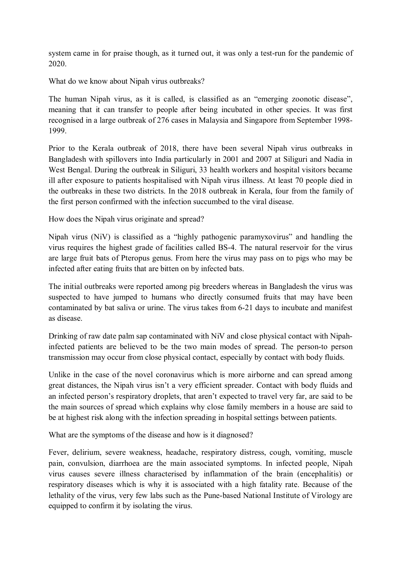system came in for praise though, as it turned out, it was only a test-run for the pandemic of 2020.

What do we know about Nipah virus outbreaks?

The human Nipah virus, as it is called, is classified as an "emerging zoonotic disease", meaning that it can transfer to people after being incubated in other species. It was first recognised in a large outbreak of 276 cases in Malaysia and Singapore from September 1998- 1999.

Prior to the Kerala outbreak of 2018, there have been several Nipah virus outbreaks in Bangladesh with spillovers into India particularly in 2001 and 2007 at Siliguri and Nadia in West Bengal. During the outbreak in Siliguri, 33 health workers and hospital visitors became ill after exposure to patients hospitalised with Nipah virus illness. At least 70 people died in the outbreaks in these two districts. In the 2018 outbreak in Kerala, four from the family of the first person confirmed with the infection succumbed to the viral disease.

How does the Nipah virus originate and spread?

Nipah virus (NiV) is classified as a "highly pathogenic paramyxovirus" and handling the virus requires the highest grade of facilities called BS-4. The natural reservoir for the virus are large fruit bats of Pteropus genus. From here the virus may pass on to pigs who may be infected after eating fruits that are bitten on by infected bats.

The initial outbreaks were reported among pig breeders whereas in Bangladesh the virus was suspected to have jumped to humans who directly consumed fruits that may have been contaminated by bat saliva or urine. The virus takes from 6-21 days to incubate and manifest as disease.

Drinking of raw date palm sap contaminated with NiV and close physical contact with Nipahinfected patients are believed to be the two main modes of spread. The person-to person transmission may occur from close physical contact, especially by contact with body fluids.

Unlike in the case of the novel coronavirus which is more airborne and can spread among great distances, the Nipah virus isn't a very efficient spreader. Contact with body fluids and an infected person's respiratory droplets, that aren't expected to travel very far, are said to be the main sources of spread which explains why close family members in a house are said to be at highest risk along with the infection spreading in hospital settings between patients.

What are the symptoms of the disease and how is it diagnosed?

Fever, delirium, severe weakness, headache, respiratory distress, cough, vomiting, muscle pain, convulsion, diarrhoea are the main associated symptoms. In infected people, Nipah virus causes severe illness characterised by inflammation of the brain (encephalitis) or respiratory diseases which is why it is associated with a high fatality rate. Because of the lethality of the virus, very few labs such as the Pune-based National Institute of Virology are equipped to confirm it by isolating the virus.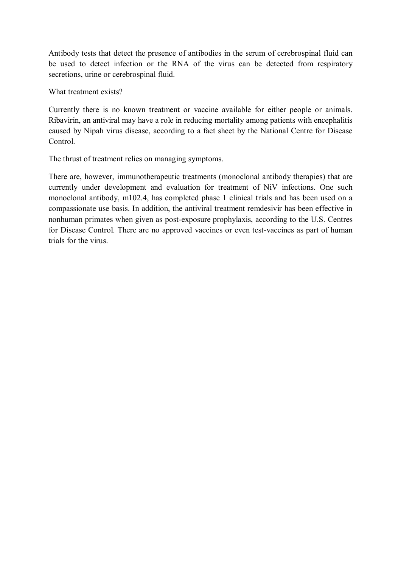Antibody tests that detect the presence of antibodies in the serum of cerebrospinal fluid can be used to detect infection or the RNA of the virus can be detected from respiratory secretions, urine or cerebrospinal fluid.

What treatment exists?

Currently there is no known treatment or vaccine available for either people or animals. Ribavirin, an antiviral may have a role in reducing mortality among patients with encephalitis caused by Nipah virus disease, according to a fact sheet by the National Centre for Disease Control.

The thrust of treatment relies on managing symptoms.

There are, however, immunotherapeutic treatments (monoclonal antibody therapies) that are currently under development and evaluation for treatment of NiV infections. One such monoclonal antibody, m102.4, has completed phase 1 clinical trials and has been used on a compassionate use basis. In addition, the antiviral treatment remdesivir has been effective in nonhuman primates when given as post-exposure prophylaxis, according to the U.S. Centres for Disease Control. There are no approved vaccines or even test-vaccines as part of human trials for the virus.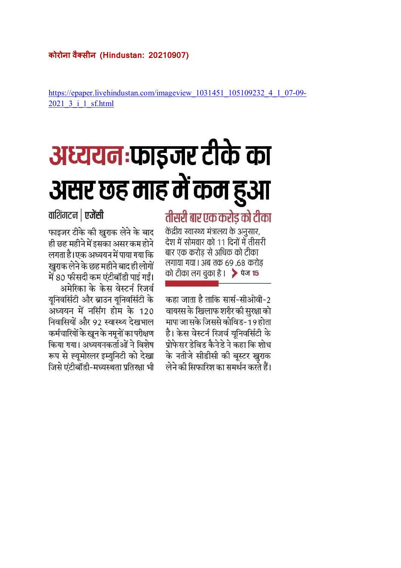https://epaper.livehindustan.com/imageview\_1031451\_105109232\_4\_1\_07-09- 2021\_3\_i\_1\_sf.html

# अध्ययन:फाइजर टीके का असर छह माह में कम हुआ

## तीसरी बार एक करोड को टीका

केंद्रीय स्वास्थ्य मंत्रालय के अनुसार, देश में सोमवार को 11 दिनों में तीसरी बार एक करोड से अधिक को टीका लगाया गया। अब तक 69.68 करोड को टीका लग चुका है ।  $\rightarrow$  पेज 15

कहा जाता है ताकि सार्स-सीओवी-2 वायरस के खिलाफ शरीर की सुरक्षा को मापा जा सके जिससे कोविड-19 होता है। केस वेस्टर्न रिजर्व युनिवर्सिटी के प्रोफेसर डेविड कैनेडे ने कहा कि शोध के नतीजे सीडीसी की बूस्टर खुराक लेने की सिफारिश का समर्थन करते हैं।

वाशिंगटन | एजेंसी

फाइजर टीके की खराक लेने के बाद ही छह महीने में इसका असर कम होने लगता है। एक अध्ययन में पाया गया कि खराक लेने के छह महीने बाद ही लोगों में 80 फीसदी कम एंटीबॉडी पाई गईं। अमेरिका के केस वेस्टर्न रिजर्व युनिवर्सिटी और ब्राउन युनिवर्सिटी के अध्ययन में नर्सिंग होम के 120 निवासियों और 92 स्वास्थ्य देखभाल कर्मचारियों के खून के नमूनों का परीक्षण किया गया। अध्ययनकर्ताओं ने विशेष रूप से ह्युमोरलर इम्युनिटी को देखा जिसे एंटीबॉडी-मध्यस्थता प्रतिरक्षा भी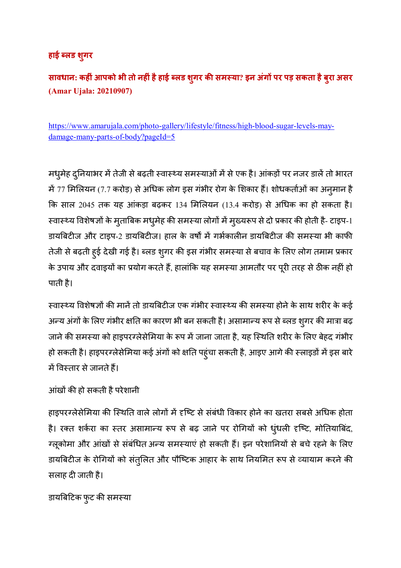#### **हाई ?लड शगर ु**

**सावधान: कह ंआपको भी तो नह ंहैहाई ?लड शगर ु क) समCया? इन अंग पर पड़ सकता हैबुरा असर (Amar Ujala: 20210907)** 

https://www.amarujala.com/photo-gallery/lifestyle/fitness/high-blood-sugar-levels-maydamage-many-parts-of-body?pageId=5

मधुमेह दुनियाभर में तेजी से बढ़ती स्वास्थ्य समस्याओं में से एक है। आंकड़ों पर नजर डालें तो भारत में 77 मिलियन (7.7 करोड़) से अधिक लोग इस गंभीर रोग के शिकार हैं। शोधकर्ताओं का अनुमान है कि साल 2045 तक यह आंकड़ा बढ़कर 134 मिलियन (13.4 करोड़) से अधिक का हो सकता है। स्वास्थ्य विशेषज्ञों के मुताबिक मधुमेह की समस्या लोगों में मुख्यरूप से दो प्रकार की होती है- टाइप-1 डायबिटीज और टाइप-2 डायबिटीज। हाल के वर्षों में गर्भकालीन डायबिटीज की समस्या भी काफी तेजी से बढ़ती हुई देखी गई है। ब्लड शुगर की इस गंभीर समस्या से बचाव के लिए लोग तमाम प्रकार के उपाय और दवाइयों का प्रयोग करते हैं, हालांकि यह समस्या आमतौर पर पूरी तरह से ठीक नहीं हो पाती है।

स्वास्थ्य विशेषज्ञों की मानें तो डायबिटीज एक गंभीर स्वास्थ्य की समस्या होने के साथ शरीर के कई अन्य अंगों के लिए गंभीर क्षति का कारण भी बन सकती है। असामान्य रूप से ब्लड शुगर की मात्रा बढ़ जाने की समस्या को हाइपरग्लेसेमिया के रूप में जाना जाता है, यह स्थिति शरीर के लिए बेहद गंभीर हो सकती है। हाइपरग्लेसेमिया कई अंगों को क्षति पहुंचा सकती है, आइए आगे की स्लाइडों में इस बारे में विस्तार से जानते हैं।

```
आंखों की हो सकती है परेशानी
```
हाइपरग्लेसेमिया की स्थिति वाले लोगों में दृष्टि से संबंधी विकार होने का खतरा सबसे अधिक होता है। रक्त शर्करा का स्तर असामान्य रूप से बढ़ जाने पर रोगियों को धुंधली दृष्टि, मोतियाबिंद, ग्लूकोमा और आंखों से संबंधित अन्य समस्याएं हो सकती हैं। इन परेशानियों से बचे रहने के लिए डायबिटीज के रोगियों को संतुलित और पौष्टिक आहार के साथ नियमित रूप से व्यायाम करने की सलाह दी जाती है।

डायबिटिक फुट की समस्या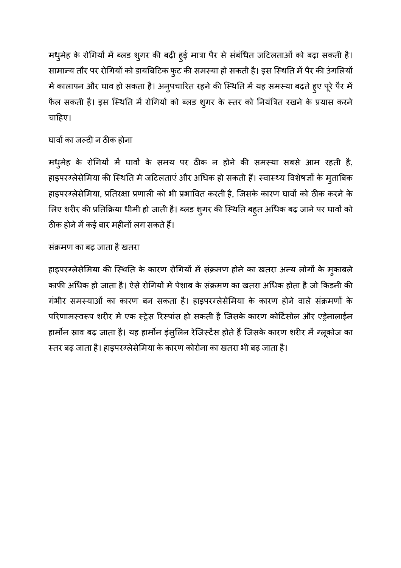मधुमेह के रोगियों में ब्लड शुगर की बढ़ी हुई मात्रा पैर से संबंधित जटिलताओं को बढ़ा सकती है। सामान्य तौर पर रोगियों को डायबिटिक फुट की समस्या हो सकती है। इस स्थिति में पैर की उंगलियों में कालापन और घाव हो सकता है। अनुपचारित रहने की स्थिति में यह समस्या बढ़ते हुए पूरे पैर में फैल सकती है। इस स्थिति में रोगियों को ब्लड शुगर के स्तर को नियंत्रित रखने के प्रयास करने चाहिए।

#### घावों का जल्दी न ठीक होना

मधुमेह के रोगियों में घावों के समय पर ठीक न होने की समस्या सबसे आम रहती है, हाइपरग्लेसेमिया की स्थिति में जटिलताएं और अधिक हो सकती हैं। स्वास्थ्य विशेषज्ञों के मुताबिक हाइपरग्लेसेमिया, प्रतिरक्षा प्रणाली को भी प्रभावित करती है, जिसके कारण घावों को ठीक करने के लिए शरीर की प्रतिक्रिया धीमी हो जाती है। ब्लड शुगर की स्थिति बहुत अधिक बढ़ जाने पर घावों को ठीक होने में कई बार महीनों लग सकते हैं।

#### संक्रमण का बढ़ जाता है खतरा

हाइपरग्लेसेमिया की स्थिति के कारण रोगियों में संक्रमण होने का खतरा अन्य लोगों के मुकाबले काफी अधिक हो जाता है। ऐसे रोगियों में पेशाब के संक्रमण का खतरा अधिक होता है जो किडनी की गंभीर समस्याओं का कारण बन सकता है। हाइपरग्लेसेमिया के कारण होने वाले संक्रमणों के परिणामस्वरूप शरीर में एक स्ट्रेस रिस्पांस हो सकती है जिसके कारण कोर्टिसोल और एड्रेनालाईन हार्मोन स्राव बढ़ जाता है। यह हार्मोन इंसुलिन रेजिस्टेंस होते हैं जिसके कारण शरीर में ग्लूकोज का स्तर बढ़ जाता है। हाइपरग्लेसेमिया के कारण कोरोना का खतरा भी बढ़ जाता है।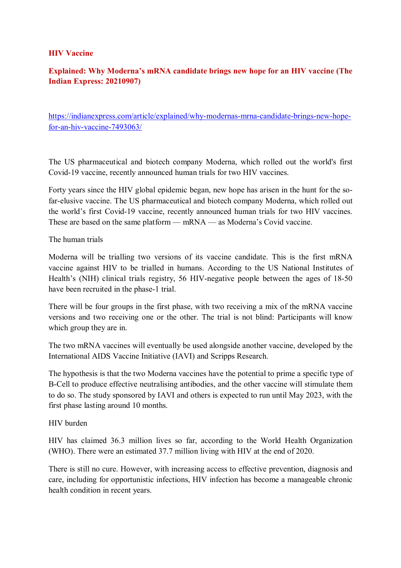#### **HIV Vaccine**

#### **Explained: Why Moderna's mRNA candidate brings new hope for an HIV vaccine (The Indian Express: 20210907)**

https://indianexpress.com/article/explained/why-modernas-mrna-candidate-brings-new-hopefor-an-hiv-vaccine-7493063/

The US pharmaceutical and biotech company Moderna, which rolled out the world's first Covid-19 vaccine, recently announced human trials for two HIV vaccines.

Forty years since the HIV global epidemic began, new hope has arisen in the hunt for the sofar-elusive vaccine. The US pharmaceutical and biotech company Moderna, which rolled out the world's first Covid-19 vaccine, recently announced human trials for two HIV vaccines. These are based on the same platform — mRNA — as Moderna's Covid vaccine.

The human trials

Moderna will be trialling two versions of its vaccine candidate. This is the first mRNA vaccine against HIV to be trialled in humans. According to the US National Institutes of Health's (NIH) clinical trials registry, 56 HIV-negative people between the ages of 18-50 have been recruited in the phase-1 trial.

There will be four groups in the first phase, with two receiving a mix of the mRNA vaccine versions and two receiving one or the other. The trial is not blind: Participants will know which group they are in.

The two mRNA vaccines will eventually be used alongside another vaccine, developed by the International AIDS Vaccine Initiative (IAVI) and Scripps Research.

The hypothesis is that the two Moderna vaccines have the potential to prime a specific type of B-Cell to produce effective neutralising antibodies, and the other vaccine will stimulate them to do so. The study sponsored by IAVI and others is expected to run until May 2023, with the first phase lasting around 10 months.

#### HIV burden

HIV has claimed 36.3 million lives so far, according to the World Health Organization (WHO). There were an estimated 37.7 million living with HIV at the end of 2020.

There is still no cure. However, with increasing access to effective prevention, diagnosis and care, including for opportunistic infections, HIV infection has become a manageable chronic health condition in recent years.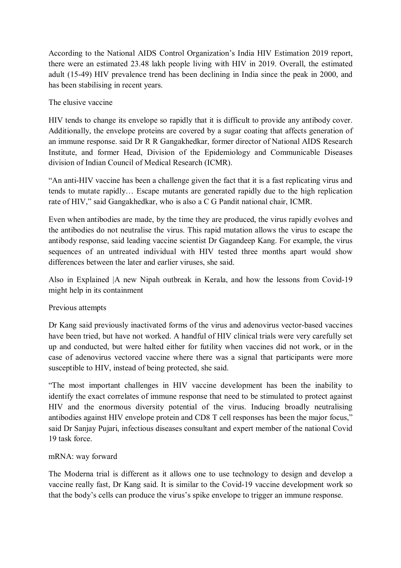According to the National AIDS Control Organization's India HIV Estimation 2019 report, there were an estimated 23.48 lakh people living with HIV in 2019. Overall, the estimated adult (15-49) HIV prevalence trend has been declining in India since the peak in 2000, and has been stabilising in recent years.

#### The elusive vaccine

HIV tends to change its envelope so rapidly that it is difficult to provide any antibody cover. Additionally, the envelope proteins are covered by a sugar coating that affects generation of an immune response. said Dr R R Gangakhedkar, former director of National AIDS Research Institute, and former Head, Division of the Epidemiology and Communicable Diseases division of Indian Council of Medical Research (ICMR).

"An anti-HIV vaccine has been a challenge given the fact that it is a fast replicating virus and tends to mutate rapidly… Escape mutants are generated rapidly due to the high replication rate of HIV," said Gangakhedkar, who is also a C G Pandit national chair, ICMR.

Even when antibodies are made, by the time they are produced, the virus rapidly evolves and the antibodies do not neutralise the virus. This rapid mutation allows the virus to escape the antibody response, said leading vaccine scientist Dr Gagandeep Kang. For example, the virus sequences of an untreated individual with HIV tested three months apart would show differences between the later and earlier viruses, she said.

Also in Explained |A new Nipah outbreak in Kerala, and how the lessons from Covid-19 might help in its containment

#### Previous attempts

Dr Kang said previously inactivated forms of the virus and adenovirus vector-based vaccines have been tried, but have not worked. A handful of HIV clinical trials were very carefully set up and conducted, but were halted either for futility when vaccines did not work, or in the case of adenovirus vectored vaccine where there was a signal that participants were more susceptible to HIV, instead of being protected, she said.

"The most important challenges in HIV vaccine development has been the inability to identify the exact correlates of immune response that need to be stimulated to protect against HIV and the enormous diversity potential of the virus. Inducing broadly neutralising antibodies against HIV envelope protein and CD8 T cell responses has been the major focus," said Dr Sanjay Pujari, infectious diseases consultant and expert member of the national Covid 19 task force.

#### mRNA: way forward

The Moderna trial is different as it allows one to use technology to design and develop a vaccine really fast, Dr Kang said. It is similar to the Covid-19 vaccine development work so that the body's cells can produce the virus's spike envelope to trigger an immune response.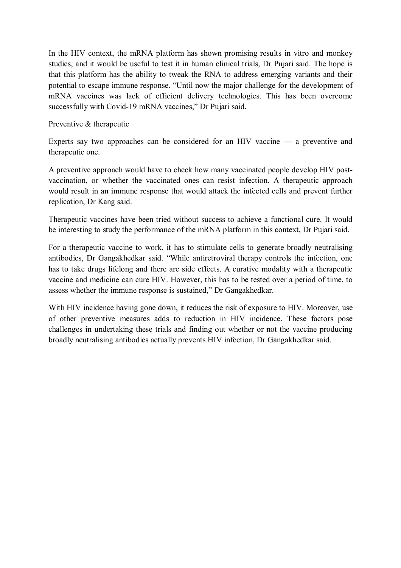In the HIV context, the mRNA platform has shown promising results in vitro and monkey studies, and it would be useful to test it in human clinical trials, Dr Pujari said. The hope is that this platform has the ability to tweak the RNA to address emerging variants and their potential to escape immune response. "Until now the major challenge for the development of mRNA vaccines was lack of efficient delivery technologies. This has been overcome successfully with Covid-19 mRNA vaccines," Dr Pujari said.

Preventive & therapeutic

Experts say two approaches can be considered for an HIV vaccine — a preventive and therapeutic one.

A preventive approach would have to check how many vaccinated people develop HIV postvaccination, or whether the vaccinated ones can resist infection. A therapeutic approach would result in an immune response that would attack the infected cells and prevent further replication, Dr Kang said.

Therapeutic vaccines have been tried without success to achieve a functional cure. It would be interesting to study the performance of the mRNA platform in this context, Dr Pujari said.

For a therapeutic vaccine to work, it has to stimulate cells to generate broadly neutralising antibodies, Dr Gangakhedkar said. "While antiretroviral therapy controls the infection, one has to take drugs lifelong and there are side effects. A curative modality with a therapeutic vaccine and medicine can cure HIV. However, this has to be tested over a period of time, to assess whether the immune response is sustained," Dr Gangakhedkar.

With HIV incidence having gone down, it reduces the risk of exposure to HIV. Moreover, use of other preventive measures adds to reduction in HIV incidence. These factors pose challenges in undertaking these trials and finding out whether or not the vaccine producing broadly neutralising antibodies actually prevents HIV infection, Dr Gangakhedkar said.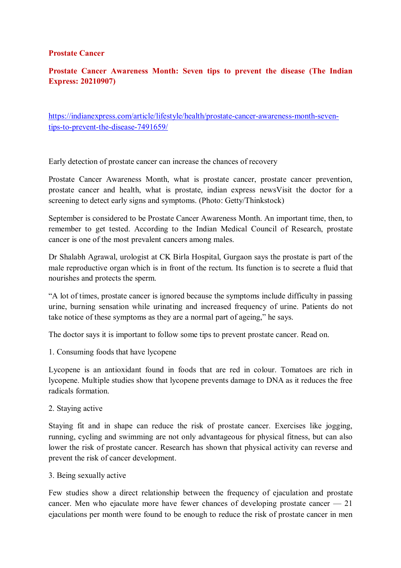#### **Prostate Cancer**

#### **Prostate Cancer Awareness Month: Seven tips to prevent the disease (The Indian Express: 20210907)**

https://indianexpress.com/article/lifestyle/health/prostate-cancer-awareness-month-seventips-to-prevent-the-disease-7491659/

Early detection of prostate cancer can increase the chances of recovery

Prostate Cancer Awareness Month, what is prostate cancer, prostate cancer prevention, prostate cancer and health, what is prostate, indian express newsVisit the doctor for a screening to detect early signs and symptoms. (Photo: Getty/Thinkstock)

September is considered to be Prostate Cancer Awareness Month. An important time, then, to remember to get tested. According to the Indian Medical Council of Research, prostate cancer is one of the most prevalent cancers among males.

Dr Shalabh Agrawal, urologist at CK Birla Hospital, Gurgaon says the prostate is part of the male reproductive organ which is in front of the rectum. Its function is to secrete a fluid that nourishes and protects the sperm.

"A lot of times, prostate cancer is ignored because the symptoms include difficulty in passing urine, burning sensation while urinating and increased frequency of urine. Patients do not take notice of these symptoms as they are a normal part of ageing," he says.

The doctor says it is important to follow some tips to prevent prostate cancer. Read on.

1. Consuming foods that have lycopene

Lycopene is an antioxidant found in foods that are red in colour. Tomatoes are rich in lycopene. Multiple studies show that lycopene prevents damage to DNA as it reduces the free radicals formation.

2. Staying active

Staying fit and in shape can reduce the risk of prostate cancer. Exercises like jogging, running, cycling and swimming are not only advantageous for physical fitness, but can also lower the risk of prostate cancer. Research has shown that physical activity can reverse and prevent the risk of cancer development.

3. Being sexually active

Few studies show a direct relationship between the frequency of ejaculation and prostate cancer. Men who ejaculate more have fewer chances of developing prostate cancer — 21 ejaculations per month were found to be enough to reduce the risk of prostate cancer in men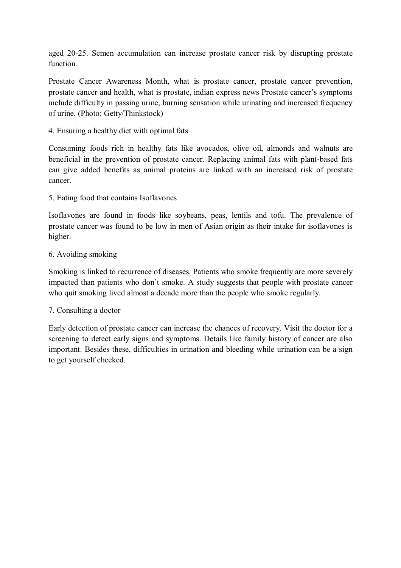aged 20-25. Semen accumulation can increase prostate cancer risk by disrupting prostate function.

Prostate Cancer Awareness Month, what is prostate cancer, prostate cancer prevention, prostate cancer and health, what is prostate, indian express news Prostate cancer's symptoms include difficulty in passing urine, burning sensation while urinating and increased frequency of urine. (Photo: Getty/Thinkstock)

4. Ensuring a healthy diet with optimal fats

Consuming foods rich in healthy fats like avocados, olive oil, almonds and walnuts are beneficial in the prevention of prostate cancer. Replacing animal fats with plant-based fats can give added benefits as animal proteins are linked with an increased risk of prostate cancer.

5. Eating food that contains Isoflavones

Isoflavones are found in foods like soybeans, peas, lentils and tofu. The prevalence of prostate cancer was found to be low in men of Asian origin as their intake for isoflavones is higher.

6. Avoiding smoking

Smoking is linked to recurrence of diseases. Patients who smoke frequently are more severely impacted than patients who don't smoke. A study suggests that people with prostate cancer who quit smoking lived almost a decade more than the people who smoke regularly.

7. Consulting a doctor

Early detection of prostate cancer can increase the chances of recovery. Visit the doctor for a screening to detect early signs and symptoms. Details like family history of cancer are also important. Besides these, difficulties in urination and bleeding while urination can be a sign to get yourself checked.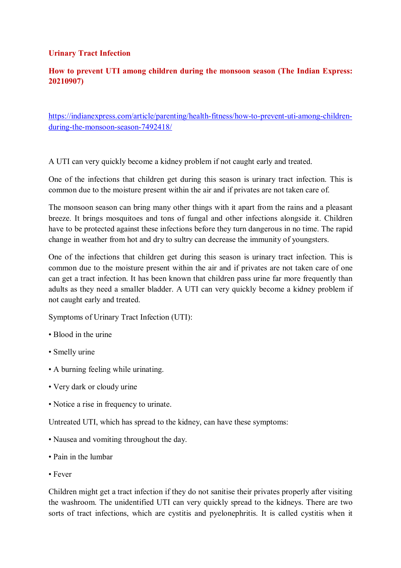#### **Urinary Tract Infection**

#### **How to prevent UTI among children during the monsoon season (The Indian Express: 20210907)**

https://indianexpress.com/article/parenting/health-fitness/how-to-prevent-uti-among-childrenduring-the-monsoon-season-7492418/

A UTI can very quickly become a kidney problem if not caught early and treated.

One of the infections that children get during this season is urinary tract infection. This is common due to the moisture present within the air and if privates are not taken care of.

The monsoon season can bring many other things with it apart from the rains and a pleasant breeze. It brings mosquitoes and tons of fungal and other infections alongside it. Children have to be protected against these infections before they turn dangerous in no time. The rapid change in weather from hot and dry to sultry can decrease the immunity of youngsters.

One of the infections that children get during this season is urinary tract infection. This is common due to the moisture present within the air and if privates are not taken care of one can get a tract infection. It has been known that children pass urine far more frequently than adults as they need a smaller bladder. A UTI can very quickly become a kidney problem if not caught early and treated.

Symptoms of Urinary Tract Infection (UTI):

- Blood in the urine
- Smelly urine
- A burning feeling while urinating.
- Very dark or cloudy urine
- Notice a rise in frequency to urinate.

Untreated UTI, which has spread to the kidney, can have these symptoms:

- Nausea and vomiting throughout the day.
- Pain in the lumbar
- Fever

Children might get a tract infection if they do not sanitise their privates properly after visiting the washroom. The unidentified UTI can very quickly spread to the kidneys. There are two sorts of tract infections, which are cystitis and pyelonephritis. It is called cystitis when it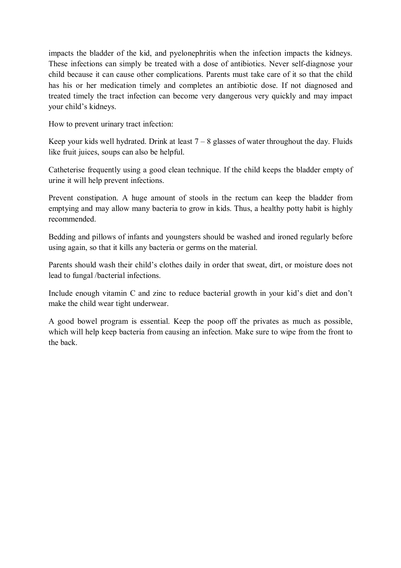impacts the bladder of the kid, and pyelonephritis when the infection impacts the kidneys. These infections can simply be treated with a dose of antibiotics. Never self-diagnose your child because it can cause other complications. Parents must take care of it so that the child has his or her medication timely and completes an antibiotic dose. If not diagnosed and treated timely the tract infection can become very dangerous very quickly and may impact your child's kidneys.

How to prevent urinary tract infection:

Keep your kids well hydrated. Drink at least  $7 - 8$  glasses of water throughout the day. Fluids like fruit juices, soups can also be helpful.

Catheterise frequently using a good clean technique. If the child keeps the bladder empty of urine it will help prevent infections.

Prevent constipation. A huge amount of stools in the rectum can keep the bladder from emptying and may allow many bacteria to grow in kids. Thus, a healthy potty habit is highly recommended.

Bedding and pillows of infants and youngsters should be washed and ironed regularly before using again, so that it kills any bacteria or germs on the material.

Parents should wash their child's clothes daily in order that sweat, dirt, or moisture does not lead to fungal /bacterial infections.

Include enough vitamin C and zinc to reduce bacterial growth in your kid's diet and don't make the child wear tight underwear.

A good bowel program is essential. Keep the poop off the privates as much as possible, which will help keep bacteria from causing an infection. Make sure to wipe from the front to the back.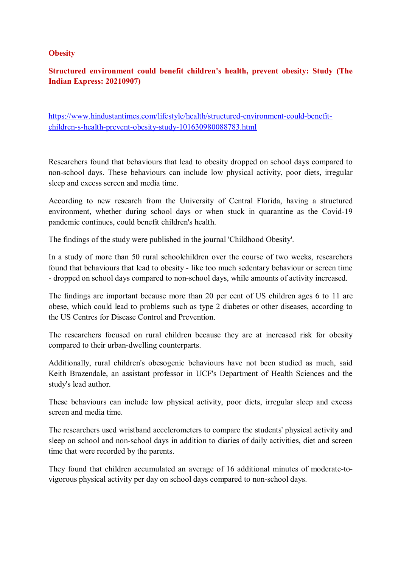#### **Obesity**

#### **Structured environment could benefit children's health, prevent obesity: Study (The Indian Express: 20210907)**

https://www.hindustantimes.com/lifestyle/health/structured-environment-could-benefitchildren-s-health-prevent-obesity-study-101630980088783.html

Researchers found that behaviours that lead to obesity dropped on school days compared to non-school days. These behaviours can include low physical activity, poor diets, irregular sleep and excess screen and media time.

According to new research from the University of Central Florida, having a structured environment, whether during school days or when stuck in quarantine as the Covid-19 pandemic continues, could benefit children's health.

The findings of the study were published in the journal 'Childhood Obesity'.

In a study of more than 50 rural schoolchildren over the course of two weeks, researchers found that behaviours that lead to obesity - like too much sedentary behaviour or screen time - dropped on school days compared to non-school days, while amounts of activity increased.

The findings are important because more than 20 per cent of US children ages 6 to 11 are obese, which could lead to problems such as type 2 diabetes or other diseases, according to the US Centres for Disease Control and Prevention.

The researchers focused on rural children because they are at increased risk for obesity compared to their urban-dwelling counterparts.

Additionally, rural children's obesogenic behaviours have not been studied as much, said Keith Brazendale, an assistant professor in UCF's Department of Health Sciences and the study's lead author.

These behaviours can include low physical activity, poor diets, irregular sleep and excess screen and media time.

The researchers used wristband accelerometers to compare the students' physical activity and sleep on school and non-school days in addition to diaries of daily activities, diet and screen time that were recorded by the parents.

They found that children accumulated an average of 16 additional minutes of moderate-tovigorous physical activity per day on school days compared to non-school days.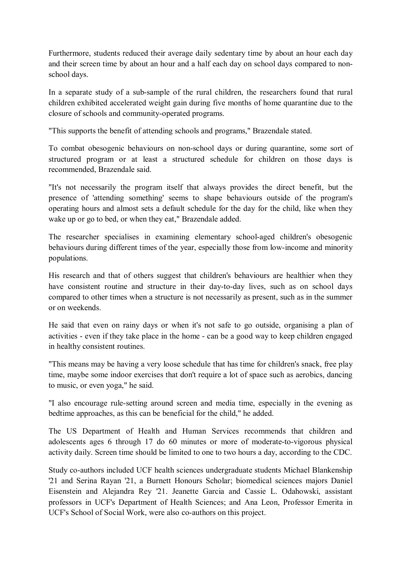Furthermore, students reduced their average daily sedentary time by about an hour each day and their screen time by about an hour and a half each day on school days compared to nonschool days.

In a separate study of a sub-sample of the rural children, the researchers found that rural children exhibited accelerated weight gain during five months of home quarantine due to the closure of schools and community-operated programs.

"This supports the benefit of attending schools and programs," Brazendale stated.

To combat obesogenic behaviours on non-school days or during quarantine, some sort of structured program or at least a structured schedule for children on those days is recommended, Brazendale said.

"It's not necessarily the program itself that always provides the direct benefit, but the presence of 'attending something' seems to shape behaviours outside of the program's operating hours and almost sets a default schedule for the day for the child, like when they wake up or go to bed, or when they eat," Brazendale added.

The researcher specialises in examining elementary school-aged children's obesogenic behaviours during different times of the year, especially those from low-income and minority populations.

His research and that of others suggest that children's behaviours are healthier when they have consistent routine and structure in their day-to-day lives, such as on school days compared to other times when a structure is not necessarily as present, such as in the summer or on weekends.

He said that even on rainy days or when it's not safe to go outside, organising a plan of activities - even if they take place in the home - can be a good way to keep children engaged in healthy consistent routines.

"This means may be having a very loose schedule that has time for children's snack, free play time, maybe some indoor exercises that don't require a lot of space such as aerobics, dancing to music, or even yoga," he said.

"I also encourage rule-setting around screen and media time, especially in the evening as bedtime approaches, as this can be beneficial for the child," he added.

The US Department of Health and Human Services recommends that children and adolescents ages 6 through 17 do 60 minutes or more of moderate-to-vigorous physical activity daily. Screen time should be limited to one to two hours a day, according to the CDC.

Study co-authors included UCF health sciences undergraduate students Michael Blankenship '21 and Serina Rayan '21, a Burnett Honours Scholar; biomedical sciences majors Daniel Eisenstein and Alejandra Rey '21. Jeanette Garcia and Cassie L. Odahowski, assistant professors in UCF's Department of Health Sciences; and Ana Leon, Professor Emerita in UCF's School of Social Work, were also co-authors on this project.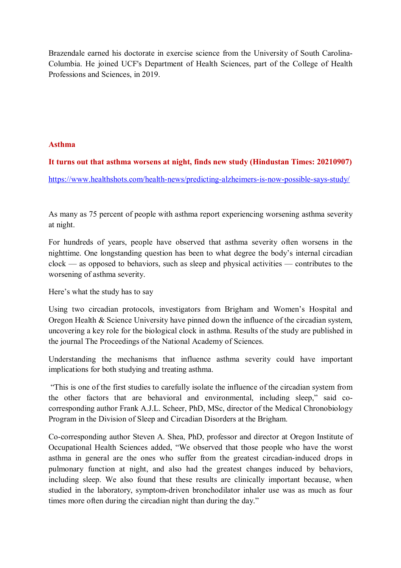Brazendale earned his doctorate in exercise science from the University of South Carolina-Columbia. He joined UCF's Department of Health Sciences, part of the College of Health Professions and Sciences, in 2019.

#### **Asthma**

#### **It turns out that asthma worsens at night, finds new study (Hindustan Times: 20210907)**

https://www.healthshots.com/health-news/predicting-alzheimers-is-now-possible-says-study/

As many as 75 percent of people with asthma report experiencing worsening asthma severity at night.

For hundreds of years, people have observed that asthma severity often worsens in the nighttime. One longstanding question has been to what degree the body's internal circadian clock — as opposed to behaviors, such as sleep and physical activities — contributes to the worsening of asthma severity.

Here's what the study has to say

Using two circadian protocols, investigators from Brigham and Women's Hospital and Oregon Health & Science University have pinned down the influence of the circadian system, uncovering a key role for the biological clock in asthma. Results of the study are published in the journal The Proceedings of the National Academy of Sciences.

Understanding the mechanisms that influence asthma severity could have important implications for both studying and treating asthma.

 "This is one of the first studies to carefully isolate the influence of the circadian system from the other factors that are behavioral and environmental, including sleep," said cocorresponding author Frank A.J.L. Scheer, PhD, MSc, director of the Medical Chronobiology Program in the Division of Sleep and Circadian Disorders at the Brigham.

Co-corresponding author Steven A. Shea, PhD, professor and director at Oregon Institute of Occupational Health Sciences added, "We observed that those people who have the worst asthma in general are the ones who suffer from the greatest circadian-induced drops in pulmonary function at night, and also had the greatest changes induced by behaviors, including sleep. We also found that these results are clinically important because, when studied in the laboratory, symptom-driven bronchodilator inhaler use was as much as four times more often during the circadian night than during the day."